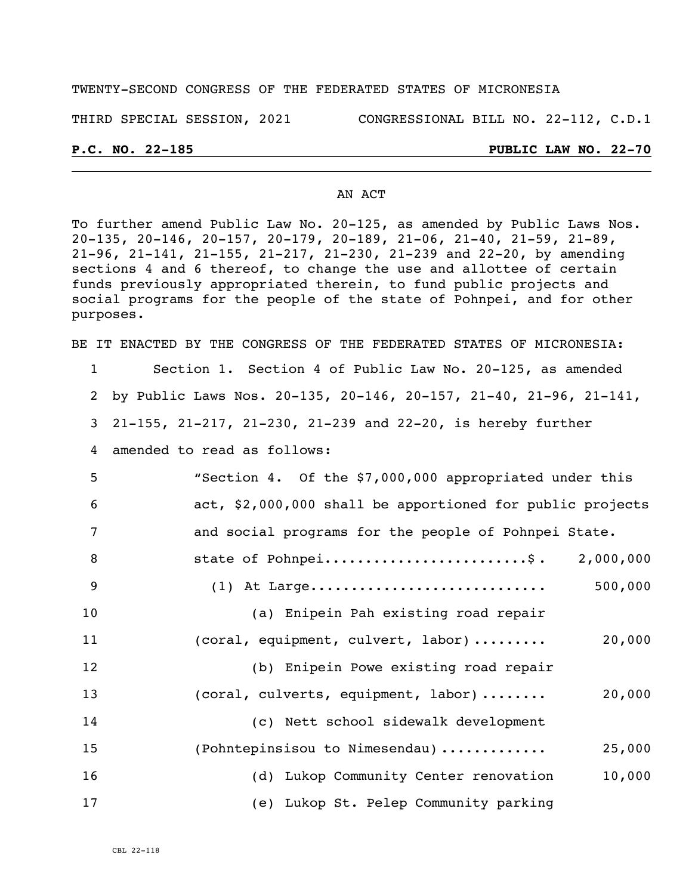#### TWENTY-SECOND CONGRESS OF THE FEDERATED STATES OF MICRONESIA

THIRD SPECIAL SESSION, 2021 CONGRESSIONAL BILL NO. 22-112, C.D.1

#### **P.C. NO. 22-185 PUBLIC LAW NO. 22-70**

#### AN ACT

To further amend Public Law No. 20-125, as amended by Public Laws Nos. 20-135, 20-146, 20-157, 20-179, 20-189, 21-06, 21-40, 21-59, 21-89, 21-96, 21-141, 21-155, 21-217, 21-230, 21-239 and 22-20, by amending sections 4 and 6 thereof, to change the use and allottee of certain funds previously appropriated therein, to fund public projects and social programs for the people of the state of Pohnpei, and for other purposes.

BE IT ENACTED BY THE CONGRESS OF THE FEDERATED STATES OF MICRONESIA: Section 1. Section 4 of Public Law No. 20-125, as amended by Public Laws Nos. 20-135, 20-146, 20-157, 21-40, 21-96, 21-141, 21-155, 21-217, 21-230, 21-239 and 22-20, is hereby further amended to read as follows: "Section 4. Of the \$7,000,000 appropriated under this act, \$2,000,000 shall be apportioned for public projects and social programs for the people of Pohnpei State. 8 state of Pohnpei...........................\$. 2,000,000 (1) At Large............................. 500,000 (a) Enipein Pah existing road repair 11 (coral, equipment, culvert, labor) ......... 20,000 (b) Enipein Powe existing road repair (coral, culverts, equipment, labor) ........ 20,000 (c) Nett school sidewalk development (Pohntepinsisou to Nimesendau) ............. 25,000 (d) Lukop Community Center renovation 10,000 (e) Lukop St. Pelep Community parking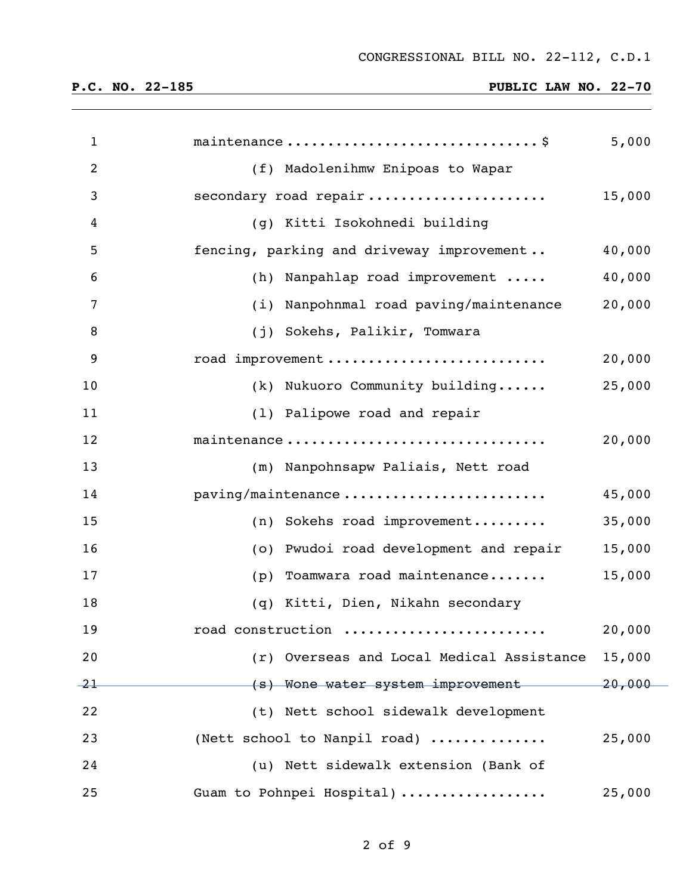| $\mathbf{1}$   |                                           | 5,000     |
|----------------|-------------------------------------------|-----------|
| $\overline{2}$ | (f) Madolenihmw Enipoas to Wapar          |           |
| 3              | secondary road repair                     | 15,000    |
| 4              | (g) Kitti Isokohnedi building             |           |
| 5              | fencing, parking and driveway improvement | 40,000    |
| 6              | (h) Nanpahlap road improvement            | 40,000    |
| 7              | (i) Nanpohnmal road paving/maintenance    | 20,000    |
| 8              | (j) Sokehs, Palikir, Tomwara              |           |
| 9              | road improvement                          | 20,000    |
| 10             | (k) Nukuoro Community building            | 25,000    |
| 11             | (1) Palipowe road and repair              |           |
| 12             | maintenance                               | 20,000    |
| 13             | (m) Nanpohnsapw Paliais, Nett road        |           |
| 14             | paving/maintenance                        | 45,000    |
| 15             | $(n)$ Sokehs road improvement             | 35,000    |
| 16             | (o) Pwudoi road development and repair    | 15,000    |
| 17             | Toamwara road maintenance<br>(p)          | 15,000    |
| 18             | (q) Kitti, Dien, Nikahn secondary         |           |
| 19             | road construction                         | 20,000    |
| 20             | (r) Overseas and Local Medical Assistance | 15,000    |
| 21             | (s) Wone water system improvement         | $-20,000$ |
| 22             | (t) Nett school sidewalk development      |           |
| 23             | (Nett school to Nanpil road)              | 25,000    |
| 24             | (u) Nett sidewalk extension (Bank of      |           |
| 25             | Guam to Pohnpei Hospital)                 | 25,000    |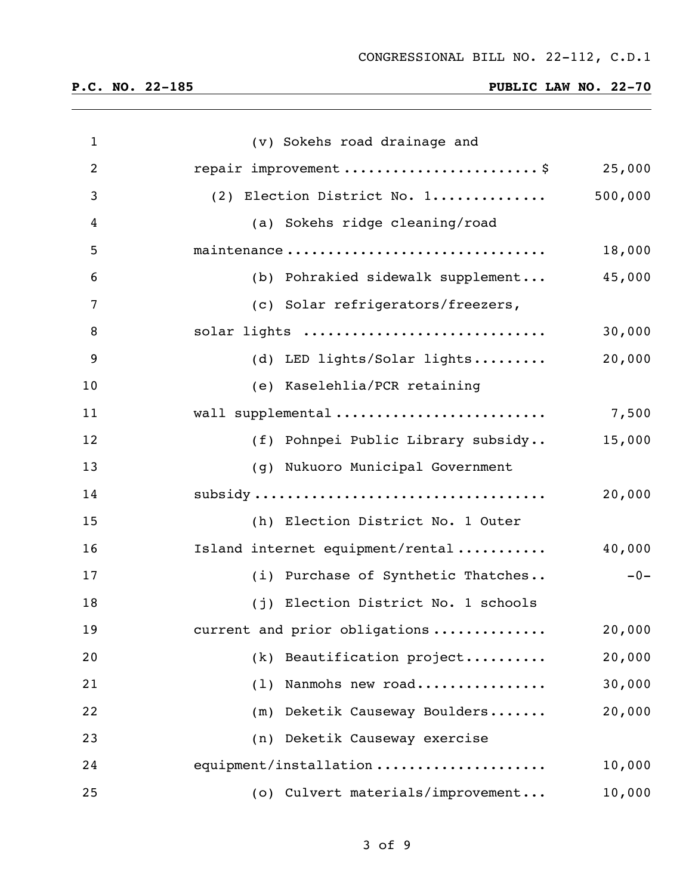| $\mathbf{1}$   | (v) Sokehs road drainage and        |         |
|----------------|-------------------------------------|---------|
| $\overline{2}$ | repair improvement\$                | 25,000  |
| 3              | (2) Election District No. 1         | 500,000 |
| 4              | (a) Sokehs ridge cleaning/road      |         |
| 5              | maintenance                         | 18,000  |
| 6              | (b) Pohrakied sidewalk supplement   | 45,000  |
| $\overline{7}$ | (c) Solar refrigerators/freezers,   |         |
| 8              | solar lights                        | 30,000  |
| 9              | (d) LED lights/Solar lights         | 20,000  |
| 10             | (e) Kaselehlia/PCR retaining        |         |
| 11             | wall supplemental                   | 7,500   |
| 12             | (f) Pohnpei Public Library subsidy  | 15,000  |
| 13             | (g) Nukuoro Municipal Government    |         |
| 14             |                                     | 20,000  |
| 15             | (h) Election District No. 1 Outer   |         |
| 16             | Island internet equipment/rental    | 40,000  |
| 17             | (i) Purchase of Synthetic Thatches  | $-0-$   |
| 18             | (j) Election District No. 1 schools |         |
| 19             | current and prior obligations       | 20,000  |
| 20             | Beautification project<br>(k)       | 20,000  |
| 21             | Nanmohs new road<br>(1)             | 30,000  |
| 22             | Deketik Causeway Boulders<br>(m)    | 20,000  |
| 23             | Deketik Causeway exercise<br>(n)    |         |
| 24             | equipment/installation              | 10,000  |
| 25             | (o) Culvert materials/improvement   | 10,000  |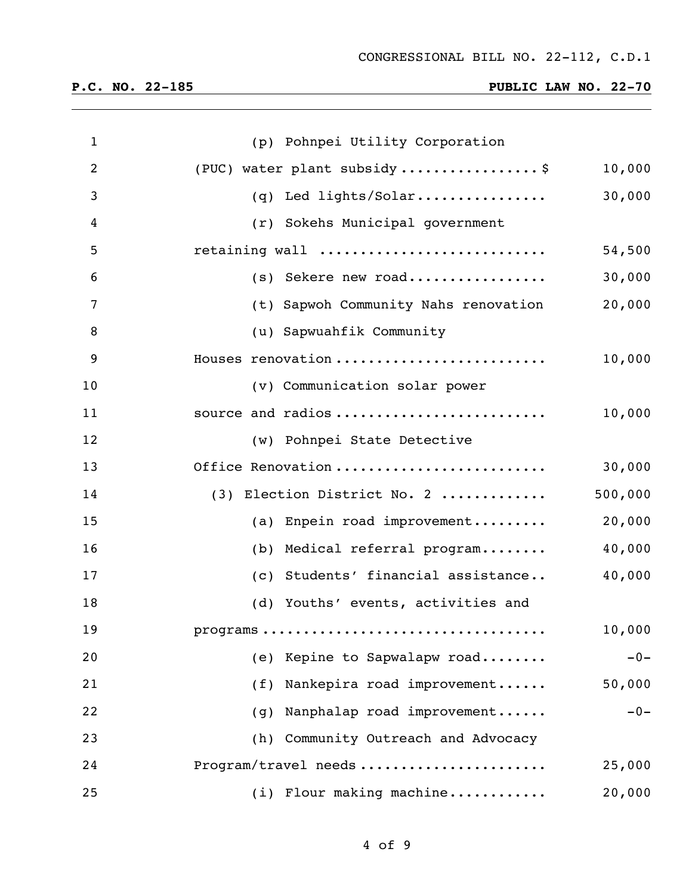| $\mathbf{1}$   | (p) Pohnpei Utility Corporation                |       |
|----------------|------------------------------------------------|-------|
| $\overline{2}$ | (PUC) water plant subsidy\$<br>10,000          |       |
| 3              | 30,000<br>(q) Led lights/Solar                 |       |
| 4              | (r) Sokehs Municipal government                |       |
| 5              | retaining wall<br>54,500                       |       |
| 6              | 30,000<br>(s) Sekere new road                  |       |
| 7              | 20,000<br>(t) Sapwoh Community Nahs renovation |       |
| 8              | (u) Sapwuahfik Community                       |       |
| 9              | 10,000<br>Houses renovation                    |       |
| 10             | (v) Communication solar power                  |       |
| 11             | 10,000<br>source and radios                    |       |
| 12             | (w) Pohnpei State Detective                    |       |
| 13             | 30,000<br>Office Renovation                    |       |
| 14             | 500,000<br>(3) Election District No. 2         |       |
| 15             | 20,000<br>(a) Enpein road improvement          |       |
| 16             | 40,000<br>(b) Medical referral program         |       |
| 17             | 40,000<br>(c) Students' financial assistance   |       |
| 18             | (d) Youths' events, activities and             |       |
| 19             | 10,000                                         |       |
| 20             | (e) Kepine to Sapwalapw road                   | $-0-$ |
| 21             | Nankepira road improvement<br>50,000<br>(f)    |       |
| 22             | Nanphalap road improvement<br>(g)              | $-0-$ |
| 23             | (h) Community Outreach and Advocacy            |       |
| 24             | Program/travel needs<br>25,000                 |       |
| 25             | (i) Flour making machine<br>20,000             |       |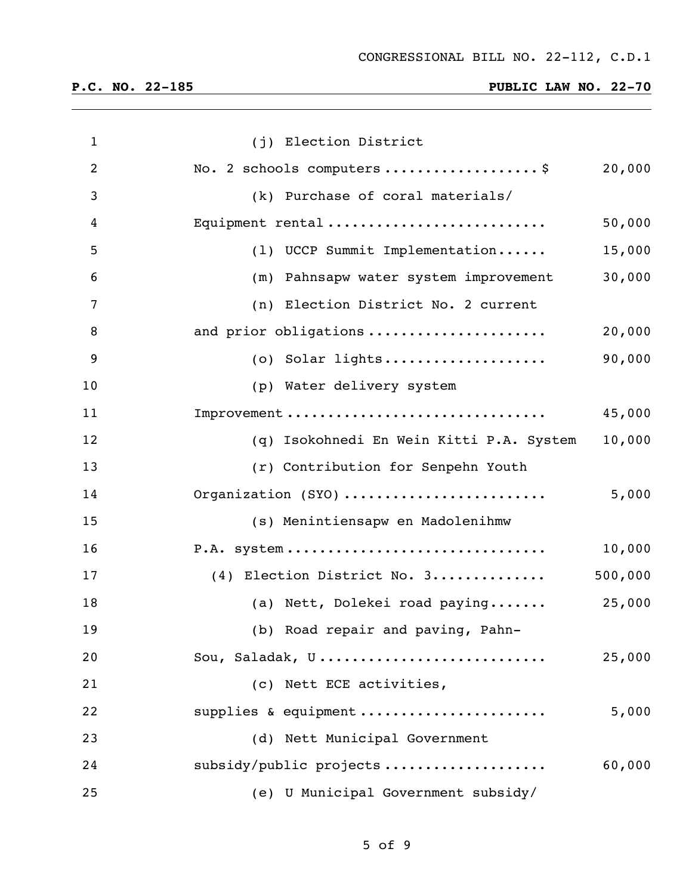| $\mathbf{1}$   | (j) Election District                    |         |
|----------------|------------------------------------------|---------|
| $\overline{2}$ | No. 2 schools computers \$               | 20,000  |
| 3              | (k) Purchase of coral materials/         |         |
| 4              | Equipment rental                         | 50,000  |
| 5              | (1) UCCP Summit Implementation           | 15,000  |
| 6              | (m) Pahnsapw water system improvement    | 30,000  |
| 7              | (n) Election District No. 2 current      |         |
| 8              | and prior obligations                    | 20,000  |
| 9              |                                          | 90,000  |
| 10             | (p) Water delivery system                |         |
| 11             | Improvement                              | 45,000  |
| 12             | (q) Isokohnedi En Wein Kitti P.A. System | 10,000  |
| 13             | (r) Contribution for Senpehn Youth       |         |
| 14             | Organization (SYO)                       | 5,000   |
| 15             | (s) Menintiensapw en Madolenihmw         |         |
| 16             | P.A. system                              | 10,000  |
| 17             | (4) Election District No. 3              | 500,000 |
| 18             | (a) Nett, Dolekei road paying 25,000     |         |
| 19             | (b) Road repair and paving, Pahn-        |         |
| 20             | Sou, Saladak, U                          | 25,000  |
| 21             | (c) Nett ECE activities,                 |         |
| 22             | supplies & equipment                     | 5,000   |
| 23             | (d) Nett Municipal Government            |         |
| 24             | subsidy/public projects                  | 60,000  |
| 25             | (e) U Municipal Government subsidy/      |         |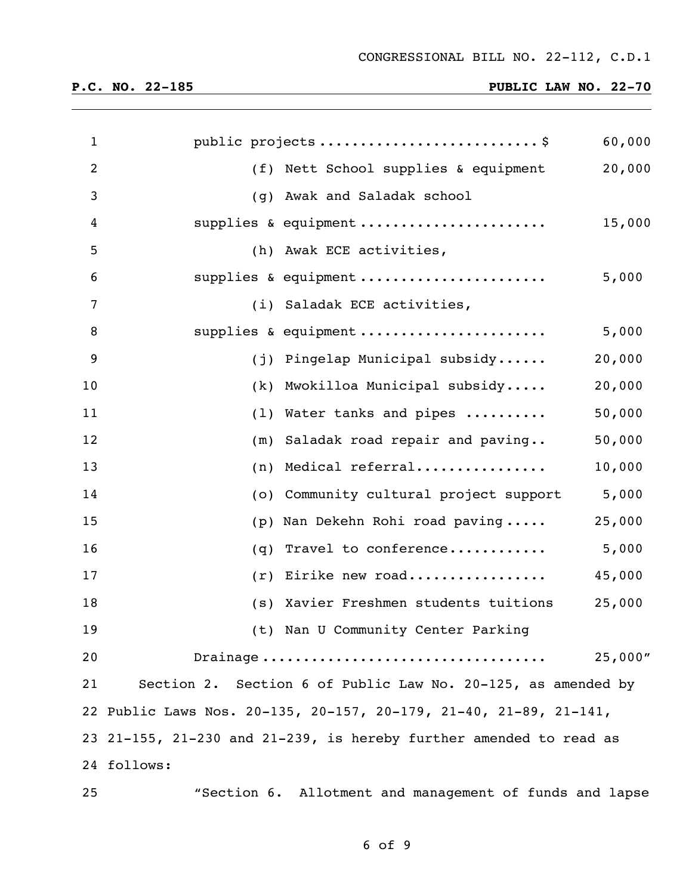| $\mathbf{1}$   |             |                                                                    | 60,000  |
|----------------|-------------|--------------------------------------------------------------------|---------|
| $\overline{2}$ |             | (f) Nett School supplies & equipment                               | 20,000  |
| 3              | (g)         | Awak and Saladak school                                            |         |
| 4              |             | supplies & equipment                                               | 15,000  |
| 5              |             | (h) Awak ECE activities,                                           |         |
| 6              |             | supplies & equipment                                               | 5,000   |
| 7              |             | (i) Saladak ECE activities,                                        |         |
| 8              |             | supplies & equipment                                               | 5,000   |
| 9              | (j)         | Pingelap Municipal subsidy                                         | 20,000  |
| 10             | (k)         | Mwokilloa Municipal subsidy                                        | 20,000  |
| 11             | (1)         | Water tanks and pipes                                              | 50,000  |
| 12             | (m)         | Saladak road repair and paving                                     | 50,000  |
| 13             | (n)         | Medical referral                                                   | 10,000  |
| 14             | (0)         | Community cultural project support                                 | 5,000   |
| 15             | (p)         | Nan Dekehn Rohi road paving                                        | 25,000  |
| 16             | (q)         | Travel to conference                                               | 5,000   |
| 17             | (r)         | Eirike new road                                                    | 45,000  |
| 18             |             | (s) Xavier Freshmen students tuitions                              | 25,000  |
| 19             |             | (t) Nan U Community Center Parking                                 |         |
| 20             |             | Drainage                                                           | 25,000" |
| 21             |             | Section 2. Section 6 of Public Law No. 20-125, as amended by       |         |
|                |             | 22 Public Laws Nos. 20-135, 20-157, 20-179, 21-40, 21-89, 21-141,  |         |
|                |             | 23 21-155, 21-230 and 21-239, is hereby further amended to read as |         |
|                | 24 follows: |                                                                    |         |
| 25             |             | "Section 6. Allotment and management of funds and lapse            |         |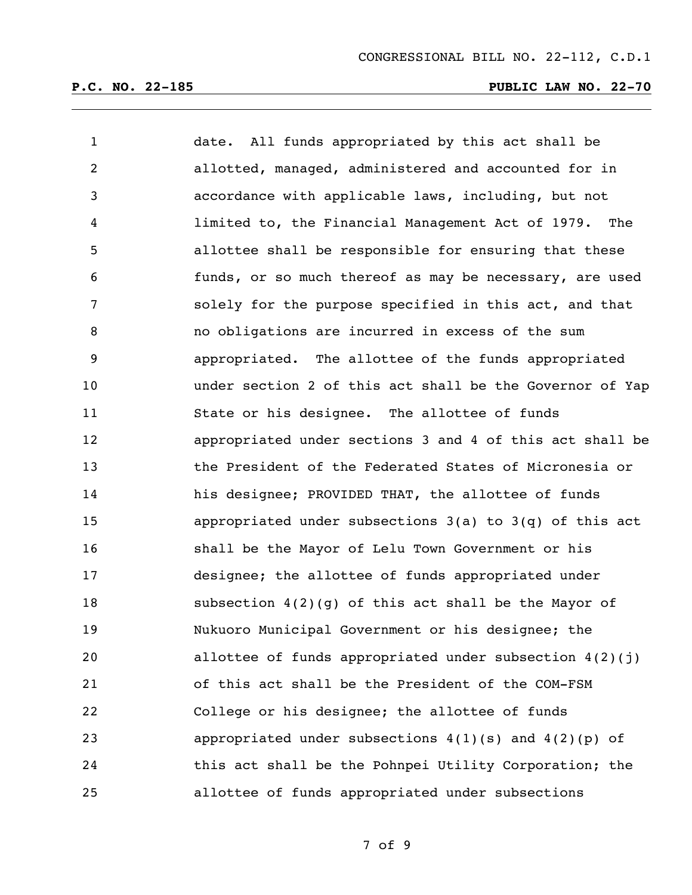| $\mathbf{1}$   | date. All funds appropriated by this act shall be           |
|----------------|-------------------------------------------------------------|
| $\overline{2}$ | allotted, managed, administered and accounted for in        |
| 3              | accordance with applicable laws, including, but not         |
| 4              | limited to, the Financial Management Act of 1979. The       |
| 5              | allottee shall be responsible for ensuring that these       |
| 6              | funds, or so much thereof as may be necessary, are used     |
| 7              | solely for the purpose specified in this act, and that      |
| 8              | no obligations are incurred in excess of the sum            |
| 9              | appropriated. The allottee of the funds appropriated        |
| 10             | under section 2 of this act shall be the Governor of Yap    |
| 11             | State or his designee. The allottee of funds                |
| 12             | appropriated under sections 3 and 4 of this act shall be    |
| 13             | the President of the Federated States of Micronesia or      |
| 14             | his designee; PROVIDED THAT, the allottee of funds          |
| 15             | appropriated under subsections $3(a)$ to $3(q)$ of this act |
| 16             | shall be the Mayor of Lelu Town Government or his           |
| 17             | designee; the allottee of funds appropriated under          |
| 18             | subsection $4(2)(g)$ of this act shall be the Mayor of      |
| 19             | Nukuoro Municipal Government or his designee; the           |
| 20             | allottee of funds appropriated under subsection $4(2)(j)$   |
| 21             | of this act shall be the President of the COM-FSM           |
| 22             | College or his designee; the allottee of funds              |
| 23             | appropriated under subsections $4(1)(s)$ and $4(2)(p)$ of   |
| 24             | this act shall be the Pohnpei Utility Corporation; the      |
| 25             | allottee of funds appropriated under subsections            |

of 9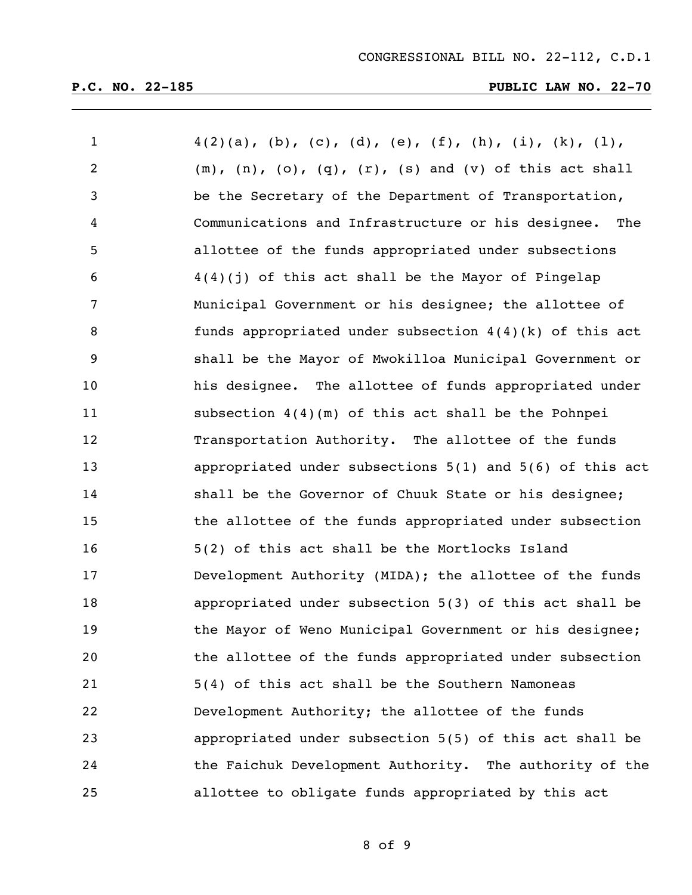| $\mathbf 1$    | $4(2)(a)$ , (b), (c), (d), (e), (f), (h), (i), (k), (l),                  |
|----------------|---------------------------------------------------------------------------|
| $\overline{2}$ | $(m)$ , $(n)$ , $(o)$ , $(q)$ , $(r)$ , $(s)$ and $(v)$ of this act shall |
| 3              | be the Secretary of the Department of Transportation,                     |
| 4              | Communications and Infrastructure or his designee. The                    |
| 5              | allottee of the funds appropriated under subsections                      |
| 6              | $4(4)(j)$ of this act shall be the Mayor of Pingelap                      |
| 7              | Municipal Government or his designee; the allottee of                     |
| 8              | funds appropriated under subsection $4(4)(k)$ of this act                 |
| 9              | shall be the Mayor of Mwokilloa Municipal Government or                   |
| 10             | his designee. The allottee of funds appropriated under                    |
| 11             | subsection $4(4)(m)$ of this act shall be the Pohnpei                     |
| 12             | Transportation Authority. The allottee of the funds                       |
| 13             | appropriated under subsections $5(1)$ and $5(6)$ of this act              |
| 14             | shall be the Governor of Chuuk State or his designee;                     |
| 15             | the allottee of the funds appropriated under subsection                   |
| 16             | 5(2) of this act shall be the Mortlocks Island                            |
| 17             | Development Authority (MIDA); the allottee of the funds                   |
| 18             | appropriated under subsection 5(3) of this act shall be                   |
| 19             | the Mayor of Weno Municipal Government or his designee;                   |
| 20             | the allottee of the funds appropriated under subsection                   |
| 21             | 5(4) of this act shall be the Southern Namoneas                           |
| 22             | Development Authority; the allottee of the funds                          |
| 23             | appropriated under subsection 5(5) of this act shall be                   |
| 24             | the Faichuk Development Authority. The authority of the                   |
| 25             | allottee to obligate funds appropriated by this act                       |